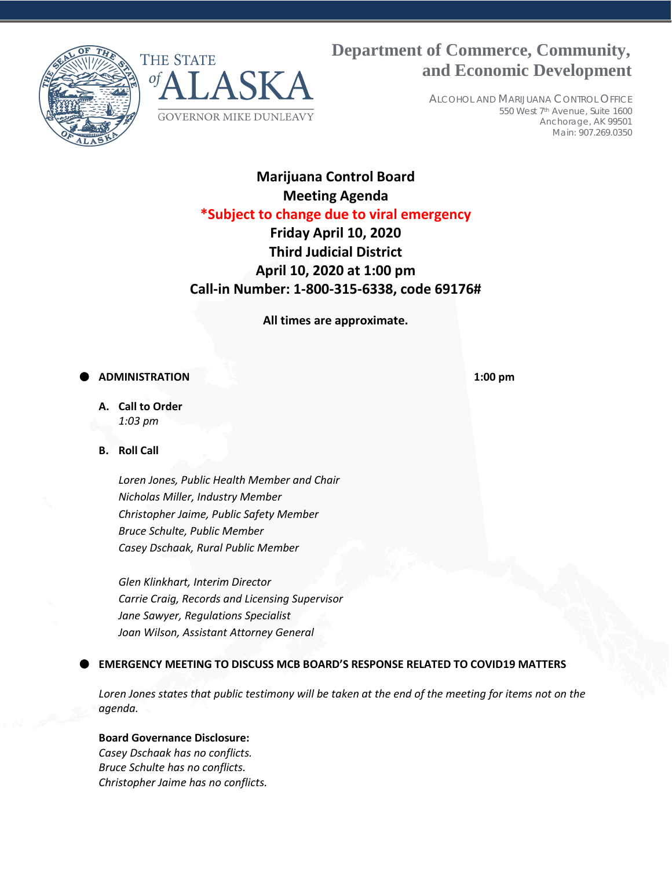



# **Department of Commerce, Community, and Economic Development**

ALCOHOL AND MARIJUANA CONTROL OFFICE 550 West 7th Avenue, Suite 1600 Anchorage, AK 99501 Main: 907.269.0350

## **Marijuana Control Board Meeting Agenda \*Subject to change due to viral emergency**

## **Friday April 10, 2020 Third Judicial District April 10, 2020 at 1:00 pm Call-in Number: 1-800-315-6338, code 69176#**

**All times are approximate.**

## **ADMINISTRATION 1:00 pm**

**A. Call to Order** *1:03 pm*

**B. Roll Call**

*Loren Jones, Public Health Member and Chair Nicholas Miller, Industry Member Christopher Jaime, Public Safety Member Bruce Schulte, Public Member Casey Dschaak, Rural Public Member*

*Glen Klinkhart, Interim Director Carrie Craig, Records and Licensing Supervisor Jane Sawyer, Regulations Specialist Joan Wilson, Assistant Attorney General*

### **EMERGENCY MEETING TO DISCUSS MCB BOARD'S RESPONSE RELATED TO COVID19 MATTERS**

*Loren Jones states that public testimony will be taken at the end of the meeting for items not on the agenda.*

### **Board Governance Disclosure:**

*Casey Dschaak has no conflicts. Bruce Schulte has no conflicts. Christopher Jaime has no conflicts.*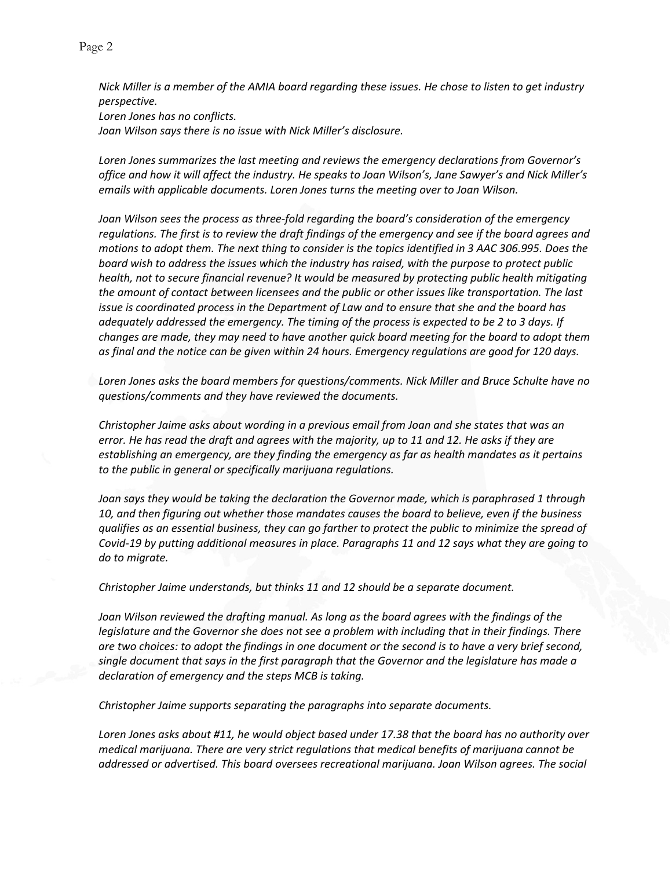*Nick Miller is a member of the AMIA board regarding these issues. He chose to listen to get industry perspective. Loren Jones has no conflicts. Joan Wilson says there is no issue with Nick Miller's disclosure.* 

*Loren Jones summarizes the last meeting and reviews the emergency declarations from Governor's office and how it will affect the industry. He speaks to Joan Wilson's, Jane Sawyer's and Nick Miller's emails with applicable documents. Loren Jones turns the meeting over to Joan Wilson.*

*Joan Wilson sees the process as three-fold regarding the board's consideration of the emergency regulations. The first is to review the draft findings of the emergency and see if the board agrees and motions to adopt them. The next thing to consider is the topics identified in 3 AAC 306.995. Does the board wish to address the issues which the industry has raised, with the purpose to protect public health, not to secure financial revenue? It would be measured by protecting public health mitigating the amount of contact between licensees and the public or other issues like transportation. The last issue is coordinated process in the Department of Law and to ensure that she and the board has adequately addressed the emergency. The timing of the process is expected to be 2 to 3 days. If changes are made, they may need to have another quick board meeting for the board to adopt them as final and the notice can be given within 24 hours. Emergency regulations are good for 120 days.*

*Loren Jones asks the board members for questions/comments. Nick Miller and Bruce Schulte have no questions/comments and they have reviewed the documents.* 

*Christopher Jaime asks about wording in a previous email from Joan and she states that was an error. He has read the draft and agrees with the majority, up to 11 and 12. He asks if they are establishing an emergency, are they finding the emergency as far as health mandates as it pertains to the public in general or specifically marijuana regulations.* 

*Joan says they would be taking the declaration the Governor made, which is paraphrased 1 through 10, and then figuring out whether those mandates causes the board to believe, even if the business qualifies as an essential business, they can go farther to protect the public to minimize the spread of Covid-19 by putting additional measures in place. Paragraphs 11 and 12 says what they are going to do to migrate.* 

*Christopher Jaime understands, but thinks 11 and 12 should be a separate document.* 

*Joan Wilson reviewed the drafting manual. As long as the board agrees with the findings of the legislature and the Governor she does not see a problem with including that in their findings. There are two choices: to adopt the findings in one document or the second is to have a very brief second, single document that says in the first paragraph that the Governor and the legislature has made a declaration of emergency and the steps MCB is taking.* 

*Christopher Jaime supports separating the paragraphs into separate documents.* 

*Loren Jones asks about #11, he would object based under 17.38 that the board has no authority over medical marijuana. There are very strict regulations that medical benefits of marijuana cannot be addressed or advertised. This board oversees recreational marijuana. Joan Wilson agrees. The social*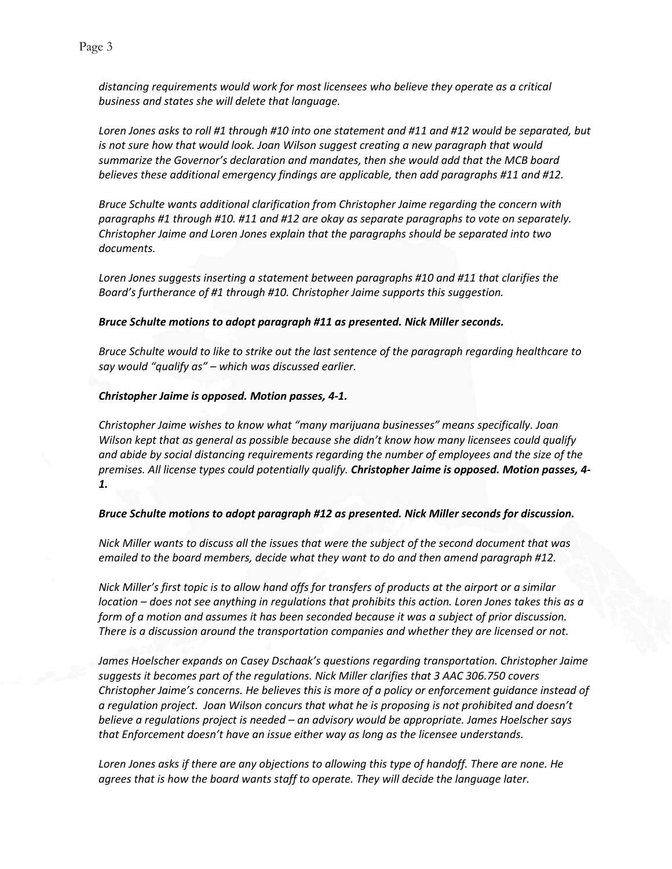*distancing requirements would work for most licensees who believe they operate as a critical business and states she will delete that language.* 

*Loren Jones asks to roll #1 through #10 into one statement and #11 and #12 would be separated, but is not sure how that would look. Joan Wilson suggest creating a new paragraph that would summarize the Governor's declaration and mandates, then she would add that the MCB board believes these additional emergency findings are applicable, then add paragraphs #11 and #12.*

*Bruce Schulte wants additional clarification from Christopher Jaime regarding the concern with paragraphs #1 through #10. #11 and #12 are okay as separate paragraphs to vote on separately. Christopher Jaime and Loren Jones explain that the paragraphs should be separated into two documents.* 

*Loren Jones suggests inserting a statement between paragraphs #10 and #11 that clarifies the Board's furtherance of #1 through #10. Christopher Jaime supports this suggestion.* 

#### *Bruce Schulte motions to adopt paragraph #11 as presented. Nick Miller seconds.*

*Bruce Schulte would to like to strike out the last sentence of the paragraph regarding healthcare to say would "qualify as" – which was discussed earlier.*

#### *Christopher Jaime is opposed. Motion passes, 4-1.*

*Christopher Jaime wishes to know what "many marijuana businesses" means specifically. Joan Wilson kept that as general as possible because she didn't know how many licensees could qualify and abide by social distancing requirements regarding the number of employees and the size of the premises. All license types could potentially qualify. Christopher Jaime is opposed. Motion passes, 4- 1.*

#### *Bruce Schulte motions to adopt paragraph #12 as presented. Nick Miller seconds for discussion.*

*Nick Miller wants to discuss all the issues that were the subject of the second document that was emailed to the board members, decide what they want to do and then amend paragraph #12.* 

*Nick Miller's first topic is to allow hand offs for transfers of products at the airport or a similar location – does not see anything in regulations that prohibits this action. Loren Jones takes this as a form of a motion and assumes it has been seconded because it was a subject of prior discussion. There is a discussion around the transportation companies and whether they are licensed or not.* 

*James Hoelscher expands on Casey Dschaak's questions regarding transportation. Christopher Jaime suggests it becomes part of the regulations. Nick Miller clarifies that 3 AAC 306.750 covers Christopher Jaime's concerns. He believes this is more of a policy or enforcement guidance instead of a regulation project. Joan Wilson concurs that what he is proposing is not prohibited and doesn't believe a regulations project is needed – an advisory would be appropriate. James Hoelscher says that Enforcement doesn't have an issue either way as long as the licensee understands.* 

*Loren Jones asks if there are any objections to allowing this type of handoff. There are none. He agrees that is how the board wants staff to operate. They will decide the language later.*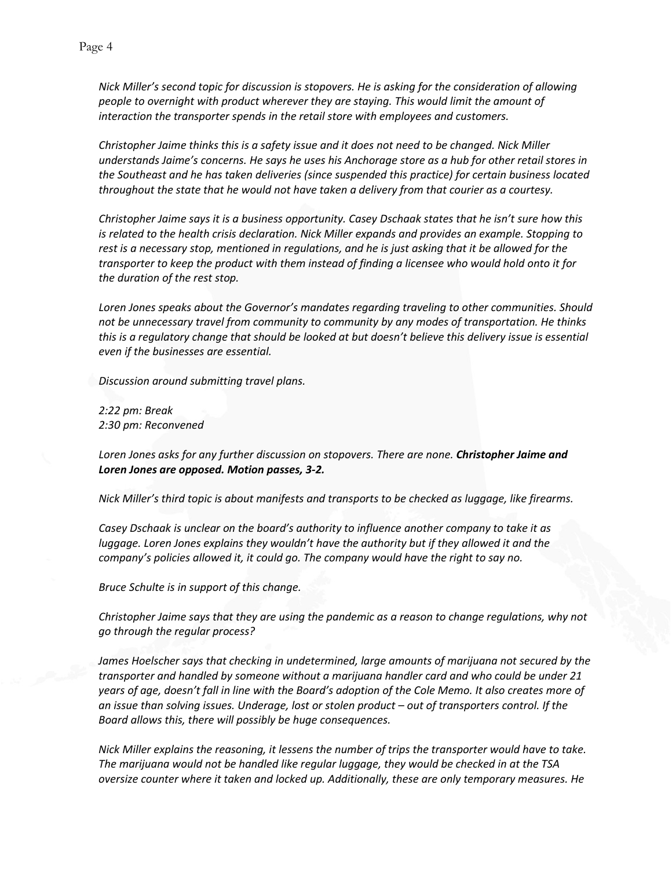*Nick Miller's second topic for discussion is stopovers. He is asking for the consideration of allowing people to overnight with product wherever they are staying. This would limit the amount of interaction the transporter spends in the retail store with employees and customers.*

*Christopher Jaime thinks this is a safety issue and it does not need to be changed. Nick Miller understands Jaime's concerns. He says he uses his Anchorage store as a hub for other retail stores in the Southeast and he has taken deliveries (since suspended this practice) for certain business located throughout the state that he would not have taken a delivery from that courier as a courtesy.* 

*Christopher Jaime says it is a business opportunity. Casey Dschaak states that he isn't sure how this is related to the health crisis declaration. Nick Miller expands and provides an example. Stopping to rest is a necessary stop, mentioned in regulations, and he is just asking that it be allowed for the transporter to keep the product with them instead of finding a licensee who would hold onto it for the duration of the rest stop.* 

*Loren Jones speaks about the Governor's mandates regarding traveling to other communities. Should not be unnecessary travel from community to community by any modes of transportation. He thinks this is a regulatory change that should be looked at but doesn't believe this delivery issue is essential even if the businesses are essential.*

*Discussion around submitting travel plans.*

*2:22 pm: Break 2:30 pm: Reconvened* 

*Loren Jones asks for any further discussion on stopovers. There are none. Christopher Jaime and Loren Jones are opposed. Motion passes, 3-2.*

*Nick Miller's third topic is about manifests and transports to be checked as luggage, like firearms.* 

*Casey Dschaak is unclear on the board's authority to influence another company to take it as luggage. Loren Jones explains they wouldn't have the authority but if they allowed it and the company's policies allowed it, it could go. The company would have the right to say no.*

*Bruce Schulte is in support of this change.* 

*Christopher Jaime says that they are using the pandemic as a reason to change regulations, why not go through the regular process?*

*James Hoelscher says that checking in undetermined, large amounts of marijuana not secured by the transporter and handled by someone without a marijuana handler card and who could be under 21 years of age, doesn't fall in line with the Board's adoption of the Cole Memo. It also creates more of an issue than solving issues. Underage, lost or stolen product – out of transporters control. If the Board allows this, there will possibly be huge consequences.* 

*Nick Miller explains the reasoning, it lessens the number of trips the transporter would have to take. The marijuana would not be handled like regular luggage, they would be checked in at the TSA oversize counter where it taken and locked up. Additionally, these are only temporary measures. He*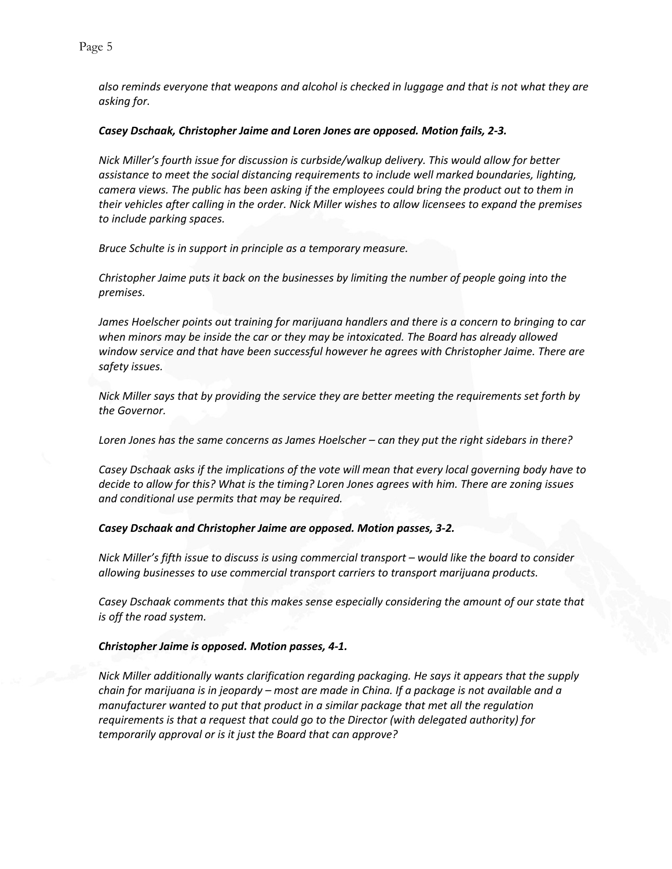*also reminds everyone that weapons and alcohol is checked in luggage and that is not what they are asking for.* 

#### *Casey Dschaak, Christopher Jaime and Loren Jones are opposed. Motion fails, 2-3.*

*Nick Miller's fourth issue for discussion is curbside/walkup delivery. This would allow for better assistance to meet the social distancing requirements to include well marked boundaries, lighting, camera views. The public has been asking if the employees could bring the product out to them in their vehicles after calling in the order. Nick Miller wishes to allow licensees to expand the premises to include parking spaces.* 

*Bruce Schulte is in support in principle as a temporary measure.* 

*Christopher Jaime puts it back on the businesses by limiting the number of people going into the premises.* 

*James Hoelscher points out training for marijuana handlers and there is a concern to bringing to car*  when minors may be inside the car or they may be intoxicated. The Board has already allowed *window service and that have been successful however he agrees with Christopher Jaime. There are safety issues.* 

*Nick Miller says that by providing the service they are better meeting the requirements set forth by the Governor.* 

*Loren Jones has the same concerns as James Hoelscher – can they put the right sidebars in there?*

*Casey Dschaak asks if the implications of the vote will mean that every local governing body have to decide to allow for this? What is the timing? Loren Jones agrees with him. There are zoning issues and conditional use permits that may be required.*

#### *Casey Dschaak and Christopher Jaime are opposed. Motion passes, 3-2.*

*Nick Miller's fifth issue to discuss is using commercial transport – would like the board to consider allowing businesses to use commercial transport carriers to transport marijuana products.* 

*Casey Dschaak comments that this makes sense especially considering the amount of our state that is off the road system.*

#### *Christopher Jaime is opposed. Motion passes, 4-1.*

*Nick Miller additionally wants clarification regarding packaging. He says it appears that the supply chain for marijuana is in jeopardy – most are made in China. If a package is not available and a manufacturer wanted to put that product in a similar package that met all the regulation requirements is that a request that could go to the Director (with delegated authority) for temporarily approval or is it just the Board that can approve?*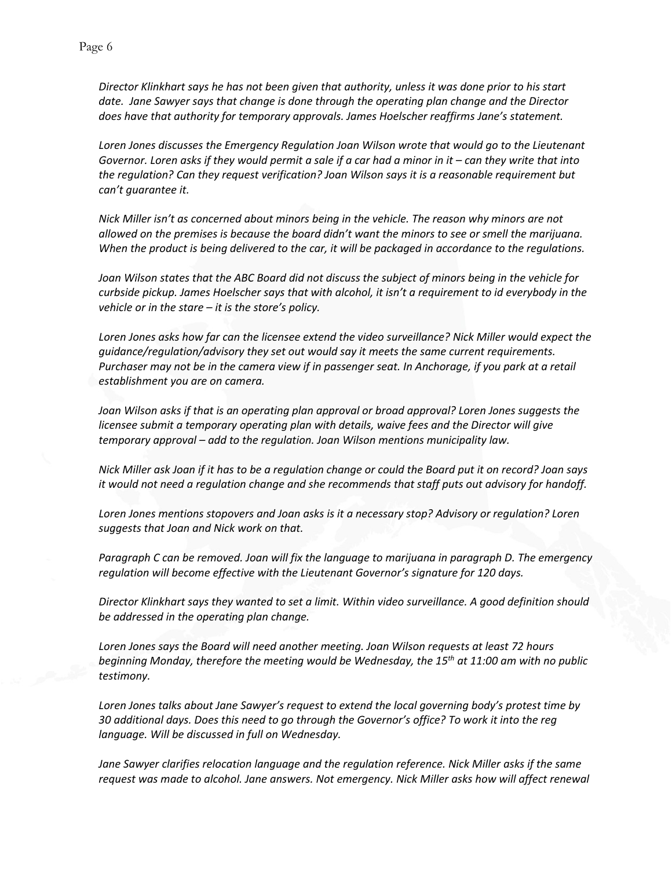*Director Klinkhart says he has not been given that authority, unless it was done prior to his start date. Jane Sawyer says that change is done through the operating plan change and the Director does have that authority for temporary approvals. James Hoelscher reaffirms Jane's statement.* 

*Loren Jones discusses the Emergency Regulation Joan Wilson wrote that would go to the Lieutenant Governor. Loren asks if they would permit a sale if a car had a minor in it – can they write that into the regulation? Can they request verification? Joan Wilson says it is a reasonable requirement but can't guarantee it.* 

*Nick Miller isn't as concerned about minors being in the vehicle. The reason why minors are not allowed on the premises is because the board didn't want the minors to see or smell the marijuana. When the product is being delivered to the car, it will be packaged in accordance to the regulations.* 

*Joan Wilson states that the ABC Board did not discuss the subject of minors being in the vehicle for curbside pickup. James Hoelscher says that with alcohol, it isn't a requirement to id everybody in the vehicle or in the stare – it is the store's policy.*

*Loren Jones asks how far can the licensee extend the video surveillance? Nick Miller would expect the guidance/regulation/advisory they set out would say it meets the same current requirements. Purchaser may not be in the camera view if in passenger seat. In Anchorage, if you park at a retail establishment you are on camera.* 

*Joan Wilson asks if that is an operating plan approval or broad approval? Loren Jones suggests the licensee submit a temporary operating plan with details, waive fees and the Director will give temporary approval – add to the regulation. Joan Wilson mentions municipality law.* 

*Nick Miller ask Joan if it has to be a regulation change or could the Board put it on record? Joan says it would not need a regulation change and she recommends that staff puts out advisory for handoff.* 

*Loren Jones mentions stopovers and Joan asks is it a necessary stop? Advisory or regulation? Loren suggests that Joan and Nick work on that.* 

*Paragraph C can be removed. Joan will fix the language to marijuana in paragraph D. The emergency regulation will become effective with the Lieutenant Governor's signature for 120 days.* 

*Director Klinkhart says they wanted to set a limit. Within video surveillance. A good definition should be addressed in the operating plan change.* 

*Loren Jones says the Board will need another meeting. Joan Wilson requests at least 72 hours beginning Monday, therefore the meeting would be Wednesday, the 15th at 11:00 am with no public testimony.* 

*Loren Jones talks about Jane Sawyer's request to extend the local governing body's protest time by 30 additional days. Does this need to go through the Governor's office? To work it into the reg language. Will be discussed in full on Wednesday.* 

*Jane Sawyer clarifies relocation language and the regulation reference. Nick Miller asks if the same request was made to alcohol. Jane answers. Not emergency. Nick Miller asks how will affect renewal*